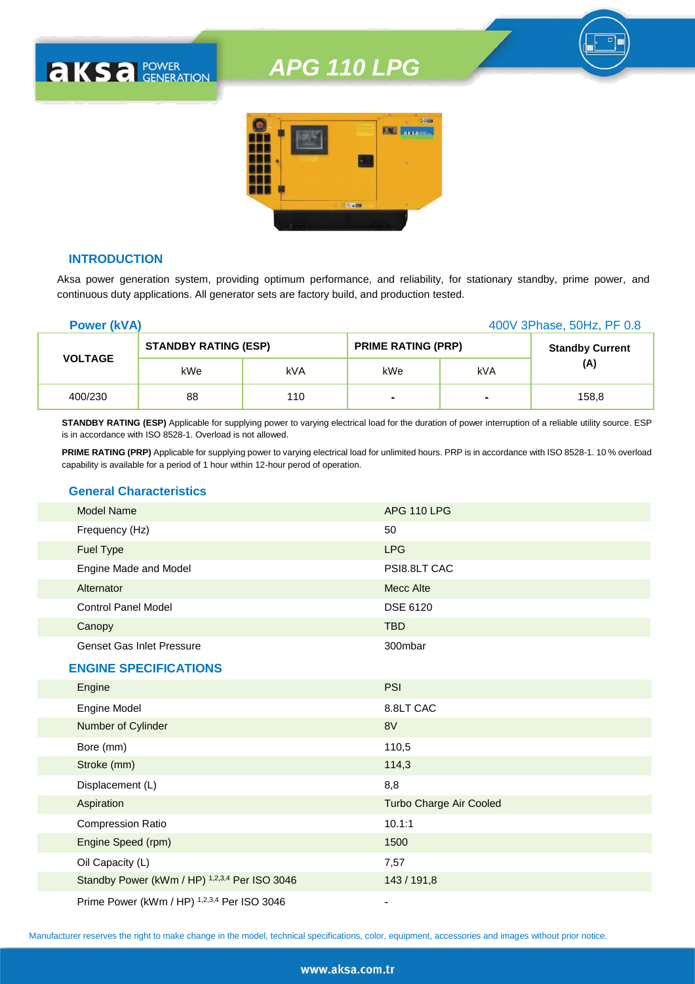

### **INTRODUCTION**

**AKSA POWER** 

Aksa power generation system, providing optimum performance, and reliability, for stationary standby, prime power, and continuous duty applications. All generator sets are factory build, and production tested.

| <b>Power (kVA)</b> |                             |     | 400V 3Phase, 50Hz, PF 0.8 |                |                        |
|--------------------|-----------------------------|-----|---------------------------|----------------|------------------------|
|                    | <b>STANDBY RATING (ESP)</b> |     | <b>PRIME RATING (PRP)</b> |                | <b>Standby Current</b> |
| <b>VOLTAGE</b>     | kWe                         | kVA | kWe                       | kVA            | (A)                    |
| 400/230            | 88                          | 110 | $\blacksquare$            | $\blacksquare$ | 158,8                  |

**STANDBY RATING (ESP)** Applicable for supplying power to varying electrical load for the duration of power interruption of a reliable utility source. ESP is in accordance with ISO 8528-1. Overload is not allowed.

**PRIME RATING (PRP)** Applicable for supplying power to varying electrical load for unlimited hours. PRP is in accordance with ISO 8528-1. 10 % overload capability is available for a period of 1 hour within 12-hour perod of operation.

### **General Characteristics**

| <b>Model Name</b>                | <b>APG 110 LPG</b> |  |
|----------------------------------|--------------------|--|
| Frequency (Hz)                   | 50                 |  |
| <b>Fuel Type</b>                 | <b>LPG</b>         |  |
| Engine Made and Model            | PSI8.8LT CAC       |  |
| Alternator                       | Mecc Alte          |  |
| <b>Control Panel Model</b>       | DSE 6120           |  |
| Canopy                           | <b>TBD</b>         |  |
| <b>Genset Gas Inlet Pressure</b> | 300mbar            |  |

### **ENGINE SPECIFICATIONS**

| Engine                                        | <b>PSI</b>                     |
|-----------------------------------------------|--------------------------------|
| <b>Engine Model</b>                           | 8.8LT CAC                      |
| Number of Cylinder                            | 8V                             |
| Bore (mm)                                     | 110,5                          |
| Stroke (mm)                                   | 114,3                          |
| Displacement (L)                              | 8,8                            |
| Aspiration                                    | <b>Turbo Charge Air Cooled</b> |
| <b>Compression Ratio</b>                      | 10.1:1                         |
| Engine Speed (rpm)                            | 1500                           |
| Oil Capacity (L)                              | 7,57                           |
| Standby Power (kWm / HP) 1,2,3,4 Per ISO 3046 | 143 / 191,8                    |
| Prime Power (kWm / HP) 1,2,3,4 Per ISO 3046   |                                |

Manufacturer reserves the right to make change in the model, technical specifications, color, equipment, accessories and images without prior notice.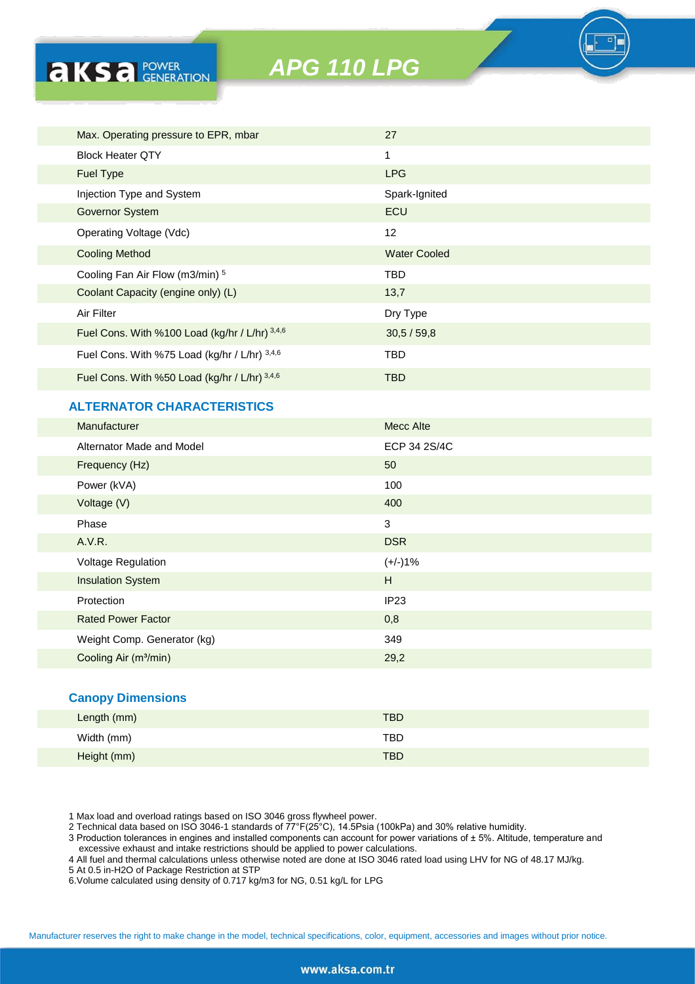

## **ALTERNATOR CHARACTERISTICS**

**AKSA POWER** 

| <b>Manufacturer</b>               | <b>Mecc Alte</b> |
|-----------------------------------|------------------|
| Alternator Made and Model         | ECP 34 2S/4C     |
| Frequency (Hz)                    | 50               |
| Power (kVA)                       | 100              |
| Voltage (V)                       | 400              |
| Phase                             | 3                |
| A.V.R.                            | <b>DSR</b>       |
| <b>Voltage Regulation</b>         | $(+/-)1%$        |
| <b>Insulation System</b>          | H                |
| Protection                        | IP23             |
| <b>Rated Power Factor</b>         | 0,8              |
| Weight Comp. Generator (kg)       | 349              |
| Cooling Air (m <sup>3</sup> /min) | 29,2             |
|                                   |                  |

### **Canopy Dimensions**

| Length (mm) | <b>TBD</b> |
|-------------|------------|
| Width (mm)  | <b>TBD</b> |
| Height (mm) | <b>TBD</b> |

1 Max load and overload ratings based on ISO 3046 gross flywheel power.

2 Technical data based on ISO 3046-1 standards of 77°F(25°C), 14.5Psia (100kPa) and 30% relative humidity.

3 Production tolerances in engines and installed components can account for power variations of ± 5%. Altitude, temperature and excessive exhaust and intake restrictions should be applied to power calculations.

4 All fuel and thermal calculations unless otherwise noted are done at ISO 3046 rated load using LHV for NG of 48.17 MJ/kg.

5 At 0.5 in-H2O of Package Restriction at STP

6.Volume calculated using density of 0.717 kg/m3 for NG, 0.51 kg/L for LPG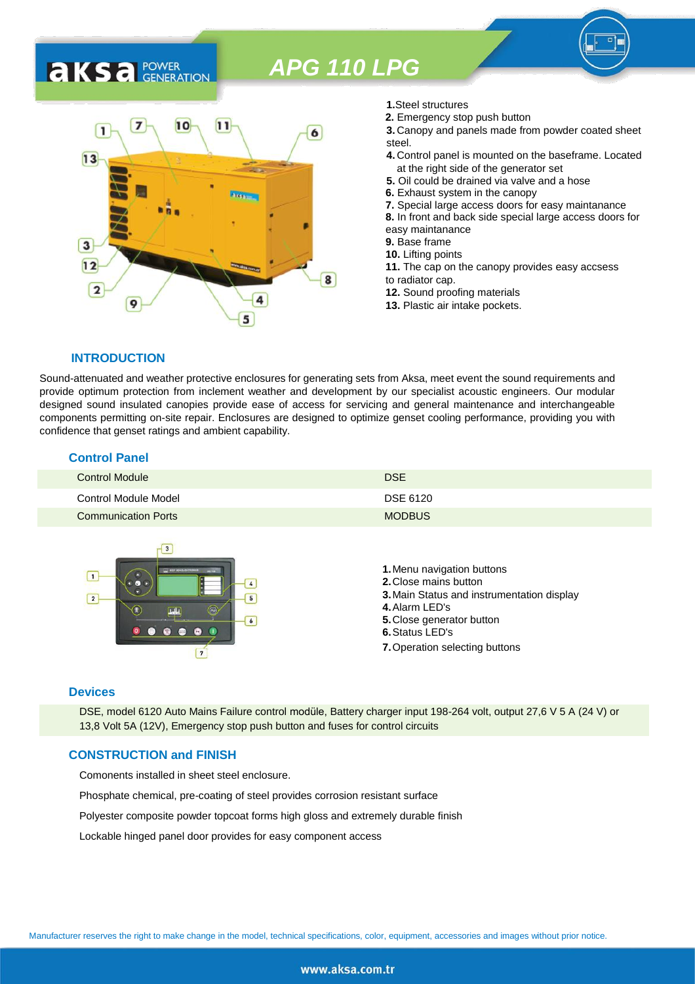## 7  $10$  $11$ 1 6  $13$ 3  $12$ 8  $\overline{2}$ 9 5

- **1.**Steel structures
- **2.** Emergency stop push button
- **3.** Canopy and panels made from powder coated sheet steel.
- **4.** Control panel is mounted on the baseframe. Located at the right side of the generator set
- **5.** Oil could be drained via valve and a hose
- **6.** Exhaust system in the canopy
- **7.** Special large access doors for easy maintanance
- **8.** In front and back side special large access doors for
- easy maintanance
- **9.** Base frame
- **10.** Lifting points
- **11.** The cap on the canopy provides easy accsess to radiator cap.
- **12.** Sound proofing materials
- **13.** Plastic air intake pockets.

### **INTRODUCTION**

**AKS** *C C <b>C GENERATION* 

Sound-attenuated and weather protective enclosures for generating sets from Aksa, meet event the sound requirements and provide optimum protection from inclement weather and development by our specialist acoustic engineers. Our modular designed sound insulated canopies provide ease of access for servicing and general maintenance and interchangeable components permitting on-site repair. Enclosures are designed to optimize genset cooling performance, providing you with confidence that genset ratings and ambient capability.

### **Control Panel**

| <b>Control Module</b>      | <b>DSE</b>    |
|----------------------------|---------------|
| Control Module Model       | DSE 6120      |
| <b>Communication Ports</b> | <b>MODBUS</b> |



### **Devices**

DSE, model 6120 Auto Mains Failure control modüle, Battery charger input 198-264 volt, output 27,6 V 5 A (24 V) or 13,8 Volt 5A (12V), Emergency stop push button and fuses for control circuits

### **CONSTRUCTION and FINISH**

Comonents installed in sheet steel enclosure.

Phosphate chemical, pre-coating of steel provides corrosion resistant surface

Polyester composite powder topcoat forms high gloss and extremely durable finish

Lockable hinged panel door provides for easy component access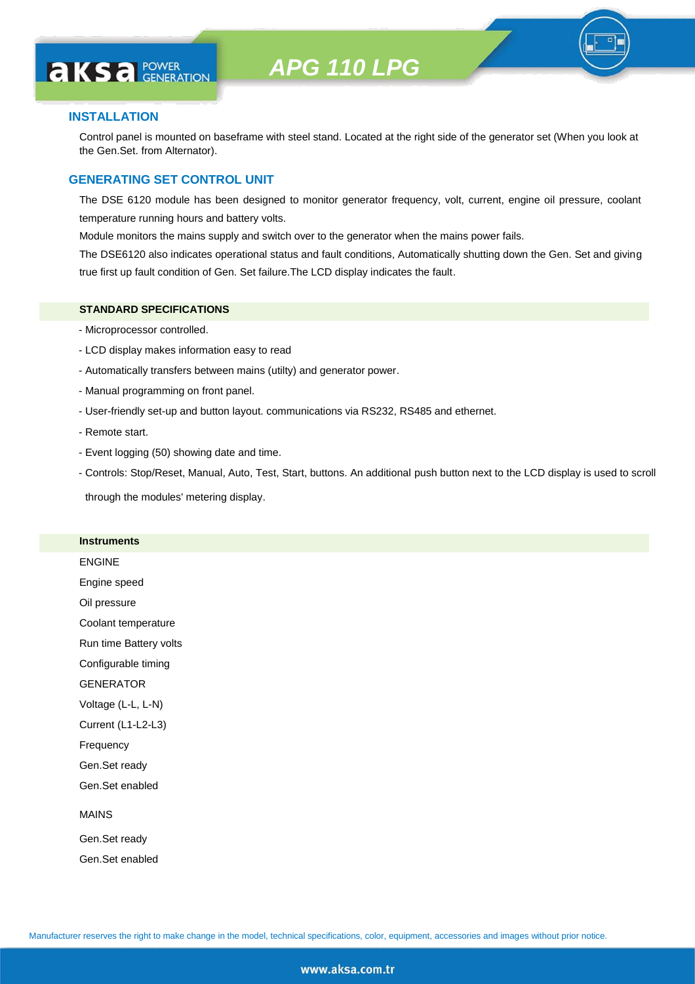# **AKS** *C C <b>C GENERATION*

### **INSTALLATION**

Control panel is mounted on baseframe with steel stand. Located at the right side of the generator set (When you look at the Gen.Set. from Alternator).

### **GENERATING SET CONTROL UNIT**

The DSE 6120 module has been designed to monitor generator frequency, volt, current, engine oil pressure, coolant temperature running hours and battery volts.

Module monitors the mains supply and switch over to the generator when the mains power fails.

The DSE6120 also indicates operational status and fault conditions, Automatically shutting down the Gen. Set and giving true first up fault condition of Gen. Set failure.The LCD display indicates the fault.

### **STANDARD SPECIFICATIONS**

- Microprocessor controlled.
- LCD display makes information easy to read
- Automatically transfers between mains (utilty) and generator power.
- Manual programming on front panel.
- User-friendly set-up and button layout. communications via RS232, RS485 and ethernet.
- Remote start.
- Event logging (50) showing date and time.
- Controls: Stop/Reset, Manual, Auto, Test, Start, buttons. An additional push button next to the LCD display is used to scroll

through the modules' metering display.

### **Instruments**

ENGINE Engine speed Oil pressure Coolant temperature Run time Battery volts Configurable timing **GENERATOR** Voltage (L-L, L-N) Current (L1-L2-L3) Frequency Gen.Set ready Gen.Set enabled MAINS Gen.Set ready

Gen.Set enabled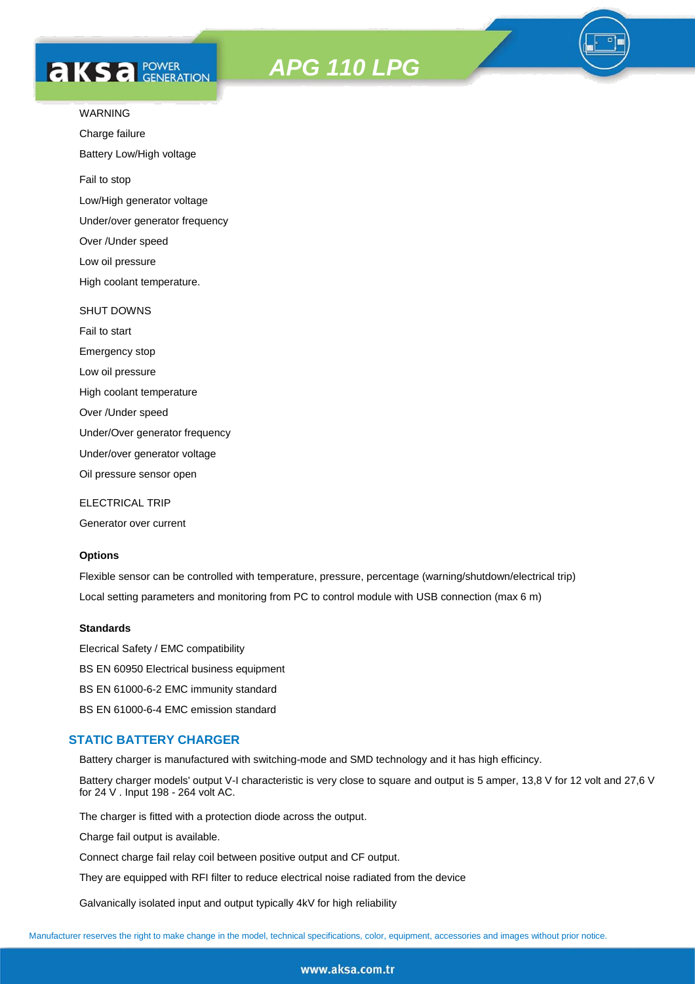# **AKS** *C C <b>C GENERATION*

*APG 110 LPG*



Charge failure

Battery Low/High voltage

Fail to stop

Low/High generator voltage

Under/over generator frequency

Over /Under speed

Low oil pressure

High coolant temperature.

### SHUT DOWNS

Fail to start Emergency stop Low oil pressure High coolant temperature Over /Under speed Under/Over generator frequency Under/over generator voltage

Oil pressure sensor open

ELECTRICAL TRIP

Generator over current

### **Options**

Flexible sensor can be controlled with temperature, pressure, percentage (warning/shutdown/electrical trip) Local setting parameters and monitoring from PC to control module with USB connection (max 6 m)

### **Standards**

Elecrical Safety / EMC compatibility BS EN 60950 Electrical business equipment BS EN 61000-6-2 EMC immunity standard BS EN 61000-6-4 EMC emission standard

### **STATIC BATTERY CHARGER**

Battery charger is manufactured with switching-mode and SMD technology and it has high efficincy.

Battery charger models' output V-I characteristic is very close to square and output is 5 amper, 13,8 V for 12 volt and 27,6 V for 24 V . Input 198 - 264 volt AC.

The charger is fitted with a protection diode across the output.

Charge fail output is available.

Connect charge fail relay coil between positive output and CF output.

They are equipped with RFI filter to reduce electrical noise radiated from the device

Galvanically isolated input and output typically 4kV for high reliability